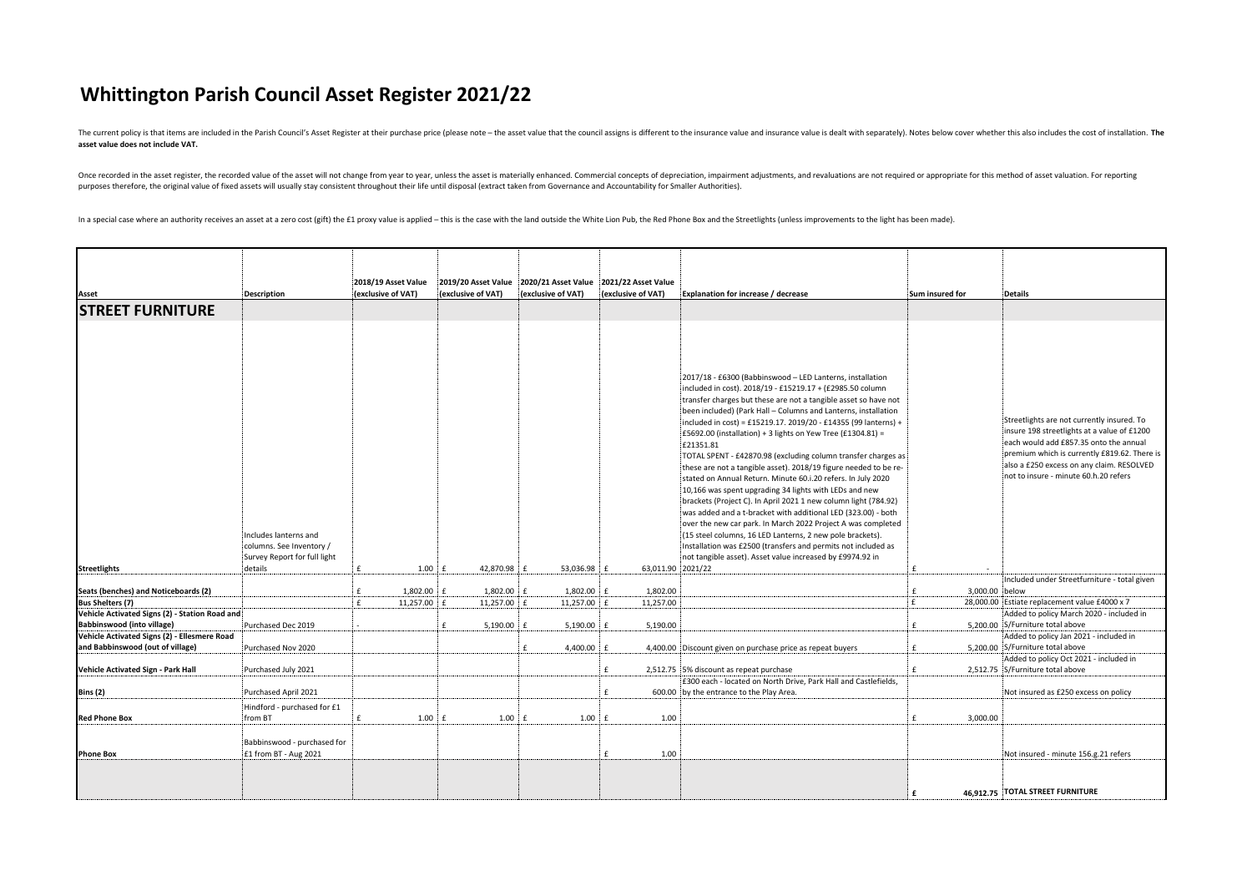## **Whittington Parish Council Asset Register 2021/22**

The current policy is that items are included in the Parish Council's Asset Register at their purchase price (please note - the asset value that the council assigns is different to the insurance value and insurance value i **asset value does not include VAT.**

Once recorded in the asset register, the recorded value of the asset will not change from year to year, unless the asset is materially enhanced. Commercial concepts of depreciation, impairment adjustments, and revaluations purposes therefore, the original value of fixed assets will usually stay consistent throughout their life until disposal (extract taken from Governance and Accountability for Smaller Authorities).

In a special case where an authority receives an asset at a zero cost (gift) the £1 proxy value is applied - this is the case with the land outside the White Lion Pub, the Red Phone Box and the Streetlights (unless improve

|                                                |                                                                                              | 2018/19 Asset Value |                    | 2019/20 Asset Value 2020/21 Asset Value 2021/22 Asset Value |                    |                                                                                                                                                                                                                                                                                                                                                                                                                                                                                                                                                                                                                                                                                                                                                                                                                                                                                                                                                                                                                                                                          |                 |                                                                                                                                                                                                                                                                            |
|------------------------------------------------|----------------------------------------------------------------------------------------------|---------------------|--------------------|-------------------------------------------------------------|--------------------|--------------------------------------------------------------------------------------------------------------------------------------------------------------------------------------------------------------------------------------------------------------------------------------------------------------------------------------------------------------------------------------------------------------------------------------------------------------------------------------------------------------------------------------------------------------------------------------------------------------------------------------------------------------------------------------------------------------------------------------------------------------------------------------------------------------------------------------------------------------------------------------------------------------------------------------------------------------------------------------------------------------------------------------------------------------------------|-----------------|----------------------------------------------------------------------------------------------------------------------------------------------------------------------------------------------------------------------------------------------------------------------------|
| Asset                                          | Description                                                                                  | (exclusive of VAT)  | (exclusive of VAT) | (exclusive of VAT)                                          | (exclusive of VAT) | Explanation for increase / decrease                                                                                                                                                                                                                                                                                                                                                                                                                                                                                                                                                                                                                                                                                                                                                                                                                                                                                                                                                                                                                                      | Sum insured for | Details                                                                                                                                                                                                                                                                    |
| <b>STREET FURNITURE</b>                        |                                                                                              |                     |                    |                                                             |                    |                                                                                                                                                                                                                                                                                                                                                                                                                                                                                                                                                                                                                                                                                                                                                                                                                                                                                                                                                                                                                                                                          |                 |                                                                                                                                                                                                                                                                            |
| <b>Streetlights</b>                            | Includes lanterns and<br>columns. See Inventory /<br>Survey Report for full light<br>details | $1.00$ $E$          | 42,870.98 £        | 53,036.98 £                                                 | 63,011.90 2021/22  | 2017/18 - £6300 (Babbinswood - LED Lanterns, installation<br>included in cost). 2018/19 - £15219.17 + (£2985.50 column<br>transfer charges but these are not a tangible asset so have not<br>been included) (Park Hall - Columns and Lanterns, installation<br>included in cost) = £15219.17. 2019/20 - £14355 (99 lanterns) +<br>£5692.00 (installation) + 3 lights on Yew Tree (£1304.81) =<br>£21351.81<br>TOTAL SPENT - £42870.98 (excluding column transfer charges as<br>these are not a tangible asset). 2018/19 figure needed to be re-<br>stated on Annual Return. Minute 60.i.20 refers. In July 2020<br>10,166 was spent upgrading 34 lights with LEDs and new<br>brackets (Project C). In April 2021 1 new column light (784.92)<br>was added and a t-bracket with additional LED (323.00) - both<br>over the new car park. In March 2022 Project A was completed<br>(15 steel columns, 16 LED Lanterns, 2 new pole brackets).<br>Installation was £2500 (transfers and permits not included as<br>not tangible asset). Asset value increased by £9974.92 in |                 | Streetlights are not currently insured. To<br>insure 198 streetlights at a value of £1200<br>each would add £857.35 onto the annual<br>premium which is currently £819.62. There is<br>ialso a £250 excess on any claim. RESOLVED<br>not to insure - minute 60.h.20 refers |
| Seats (benches) and Noticeboards (2)           |                                                                                              | 1,802.00 £          | 1,802.00 £         | 1,802.00 £                                                  | 1,802.00           |                                                                                                                                                                                                                                                                                                                                                                                                                                                                                                                                                                                                                                                                                                                                                                                                                                                                                                                                                                                                                                                                          | 3,000.00 below  | Included under Streetfurniture - total given                                                                                                                                                                                                                               |
| <b>Bus Shelters (7)</b>                        |                                                                                              | 11,257.00 £         | 11,257.00 £        | 11,257.00 £                                                 | 11,257.00          |                                                                                                                                                                                                                                                                                                                                                                                                                                                                                                                                                                                                                                                                                                                                                                                                                                                                                                                                                                                                                                                                          |                 | 28,000.00 Estiate replacement value £4000 x 7                                                                                                                                                                                                                              |
| Vehicle Activated Signs (2) - Station Road and |                                                                                              |                     |                    |                                                             |                    |                                                                                                                                                                                                                                                                                                                                                                                                                                                                                                                                                                                                                                                                                                                                                                                                                                                                                                                                                                                                                                                                          |                 | Added to policy March 2020 - included in                                                                                                                                                                                                                                   |
| Babbinswood (into village)                     | Purchased Dec 2019                                                                           |                     | 5,190.00 £<br>f    | $5,190.00$ £                                                | 5.190.00           |                                                                                                                                                                                                                                                                                                                                                                                                                                                                                                                                                                                                                                                                                                                                                                                                                                                                                                                                                                                                                                                                          |                 | 5,200.00 S/Furniture total above                                                                                                                                                                                                                                           |
| Vehicle Activated Signs (2) - Ellesmere Road   |                                                                                              |                     |                    |                                                             |                    |                                                                                                                                                                                                                                                                                                                                                                                                                                                                                                                                                                                                                                                                                                                                                                                                                                                                                                                                                                                                                                                                          |                 | Added to policy Jan 2021 - included in                                                                                                                                                                                                                                     |
| and Babbinswood (out of village)               | Purchased Nov 2020                                                                           |                     |                    | 4,400.00 £                                                  |                    | 4,400.00 Discount given on purchase price as repeat buyers                                                                                                                                                                                                                                                                                                                                                                                                                                                                                                                                                                                                                                                                                                                                                                                                                                                                                                                                                                                                               |                 | 5,200.00 S/Furniture total above                                                                                                                                                                                                                                           |
|                                                |                                                                                              |                     |                    |                                                             |                    |                                                                                                                                                                                                                                                                                                                                                                                                                                                                                                                                                                                                                                                                                                                                                                                                                                                                                                                                                                                                                                                                          |                 | Added to policy Oct 2021 - included in                                                                                                                                                                                                                                     |
| Vehicle Activated Sign - Park Hall             | Purchased July 2021                                                                          |                     |                    |                                                             |                    | 2,512.75 5% discount as repeat purchase                                                                                                                                                                                                                                                                                                                                                                                                                                                                                                                                                                                                                                                                                                                                                                                                                                                                                                                                                                                                                                  |                 | 2,512.75 S/Furniture total above                                                                                                                                                                                                                                           |
|                                                |                                                                                              |                     |                    |                                                             |                    | £300 each - located on North Drive, Park Hall and Castlefields,                                                                                                                                                                                                                                                                                                                                                                                                                                                                                                                                                                                                                                                                                                                                                                                                                                                                                                                                                                                                          |                 |                                                                                                                                                                                                                                                                            |
| <b>Bins (2)</b>                                | Purchased April 2021                                                                         |                     |                    |                                                             | $\mathbf{f}$       | 600.00 by the entrance to the Play Area.                                                                                                                                                                                                                                                                                                                                                                                                                                                                                                                                                                                                                                                                                                                                                                                                                                                                                                                                                                                                                                 |                 | Not insured as £250 excess on policy                                                                                                                                                                                                                                       |
|                                                |                                                                                              |                     |                    |                                                             |                    |                                                                                                                                                                                                                                                                                                                                                                                                                                                                                                                                                                                                                                                                                                                                                                                                                                                                                                                                                                                                                                                                          |                 |                                                                                                                                                                                                                                                                            |
|                                                | Hindford - purchased for £1                                                                  |                     |                    |                                                             |                    |                                                                                                                                                                                                                                                                                                                                                                                                                                                                                                                                                                                                                                                                                                                                                                                                                                                                                                                                                                                                                                                                          |                 |                                                                                                                                                                                                                                                                            |
| <b>Red Phone Box</b>                           | from BT                                                                                      | $1.00$ £<br>. f     | $1.00$ f           | $1.00$ f                                                    | 1.00               |                                                                                                                                                                                                                                                                                                                                                                                                                                                                                                                                                                                                                                                                                                                                                                                                                                                                                                                                                                                                                                                                          | 3,000.00        |                                                                                                                                                                                                                                                                            |
| <b>Phone Box</b>                               | Babbinswood - purchased for<br>£1 from BT - Aug 2021                                         |                     |                    |                                                             | 1.00<br>f          |                                                                                                                                                                                                                                                                                                                                                                                                                                                                                                                                                                                                                                                                                                                                                                                                                                                                                                                                                                                                                                                                          |                 | Not insured - minute 156.g.21 refers                                                                                                                                                                                                                                       |
|                                                |                                                                                              |                     |                    |                                                             |                    |                                                                                                                                                                                                                                                                                                                                                                                                                                                                                                                                                                                                                                                                                                                                                                                                                                                                                                                                                                                                                                                                          | £               | 46,912.75 TOTAL STREET FURNITURE                                                                                                                                                                                                                                           |